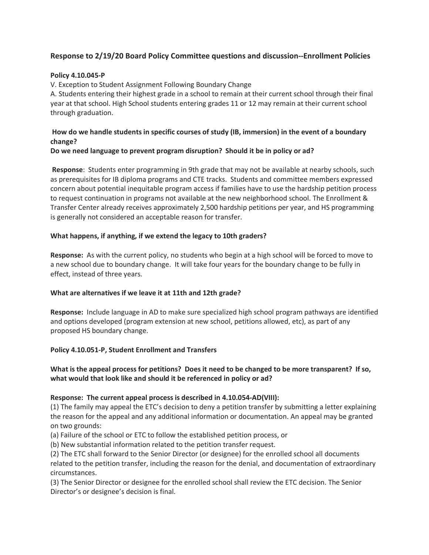# **Response to 2/19/20 Board Policy Committee questions and discussion--Enrollment Policies**

#### **Policy 4.10.045-P**

V. Exception to Student Assignment Following Boundary Change

A. Students entering their highest grade in a school to remain at their current school through their final year at that school. High School students entering grades 11 or 12 may remain at their current school through graduation.

## **How do we handle students in specific courses of study (IB, immersion) in the event of a boundary change?**

### **Do we need language to prevent program disruption? Should it be in policy or ad?**

**Response**: Students enter programming in 9th grade that may not be available at nearby schools, such as prerequisites for IB diploma programs and CTE tracks. Students and committee members expressed concern about potential inequitable program access if families have to use the hardship petition process to request continuation in programs not available at the new neighborhood school. The Enrollment & Transfer Center already receives approximately 2,500 hardship petitions per year, and HS programming is generally not considered an acceptable reason for transfer.

#### **What happens, if anything, if we extend the legacy to 10th graders?**

**Response:** As with the current policy, no students who begin at a high school will be forced to move to a new school due to boundary change. It will take four years for the boundary change to be fully in effect, instead of three years.

#### **What are alternatives if we leave it at 11th and 12th grade?**

**Response:** Include language in AD to make sure specialized high school program pathways are identified and options developed (program extension at new school, petitions allowed, etc), as part of any proposed HS boundary change.

#### **Policy 4.10.051-P, Student Enrollment and Transfers**

# **What is the appeal process for petitions? Does it need to be changed to be more transparent? If so, what would that look like and should it be referenced in policy or ad?**

#### **Response: The current appeal process is described in 4.10.054-AD(VIII):**

(1) The family may appeal the ETC's decision to deny a petition transfer by submitting a letter explaining the reason for the appeal and any additional information or documentation. An appeal may be granted on two grounds:

(a) Failure of the school or ETC to follow the established petition process, or

(b) New substantial information related to the petition transfer request.

(2) The ETC shall forward to the Senior Director (or designee) for the enrolled school all documents related to the petition transfer, including the reason for the denial, and documentation of extraordinary circumstances.

(3) The Senior Director or designee for the enrolled school shall review the ETC decision. The Senior Director's or designee's decision is final.